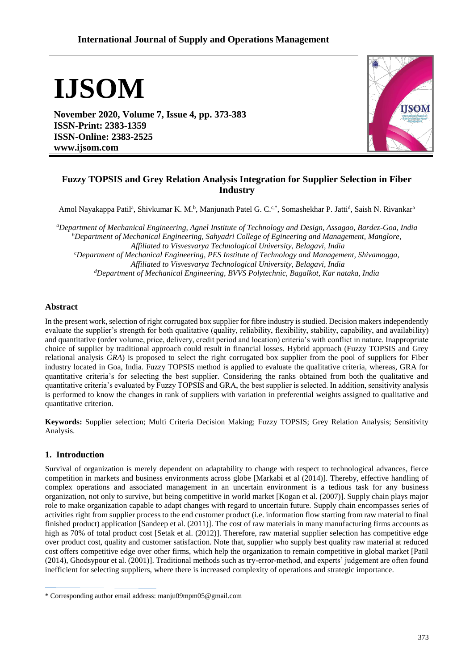# **IJSOM**

**November 2020, Volume 7, Issue 4, pp. 373-383 ISSN-Print: 2383-1359 ISSN-Online: 2383-2525 www.ijsom.com**



## **Fuzzy TOPSIS and Grey Relation Analysis Integration for Supplier Selection in Fiber Industry**

Amol Nayakappa Patil<sup>a</sup>, Shivkumar K. M.<sup>b</sup>, Manjunath Patel G. C.<sup>c,\*</sup>, Somashekhar P. Jatti<sup>d</sup>, Saish N. Rivankar<sup>a</sup>

*<sup>a</sup>Department of Mechanical Engineering, Agnel Institute of Technology and Design, Assagao, Bardez-Goa, India <sup>b</sup>Department of Mechanical Engineering, Sahyadri College of Egineering and Management, Manglore, Affiliated to Visvesvarya Technological University, Belagavi, India <sup>c</sup>Department of Mechanical Engineering, PES Institute of Technology and Management, Shivamogga, Affiliated to Visvesvarya Technological University, Belagavi, India <sup>d</sup>Department of Mechanical Engineering, BVVS Polytechnic, Bagalkot, Kar nataka, India* 

### **Abstract**

In the present work, selection of right corrugated box supplier for fibre industry is studied. Decision makers independently evaluate the supplier's strength for both qualitative (quality, reliability, flexibility, stability, capability, and availability) and quantitative (order volume, price, delivery, credit period and location) criteria's with conflict in nature. Inappropriate choice of supplier by traditional approach could result in financial losses. Hybrid approach (Fuzzy TOPSIS and Grey relational analysis *GRA*) is proposed to select the right corrugated box supplier from the pool of suppliers for Fiber industry located in Goa, India. Fuzzy TOPSIS method is applied to evaluate the qualitative criteria, whereas, GRA for quantitative criteria's for selecting the best supplier. Considering the ranks obtained from both the qualitative and quantitative criteria's evaluated by Fuzzy TOPSIS and GRA, the best supplier is selected. In addition, sensitivity analysis is performed to know the changes in rank of suppliers with variation in preferential weights assigned to qualitative and quantitative criterion.

**Keywords:** Supplier selection; Multi Criteria Decision Making; Fuzzy TOPSIS; Grey Relation Analysis; Sensitivity Analysis.

## **1. Introduction**

Survival of organization is merely dependent on adaptability to change with respect to technological advances, fierce competition in markets and business environments across globe [Markabi et al (2014)]. Thereby, effective handling of complex operations and associated management in an uncertain environment is a tedious task for any business organization, not only to survive, but being competitive in world market [Kogan et al. (2007)]. Supply chain plays major role to make organization capable to adapt changes with regard to uncertain future. Supply chain encompasses series of activities right from supplier process to the end customer product (i.e. information flow starting from raw material to final finished product) application [Sandeep et al. (2011)]. The cost of raw materials in many manufacturing firms accounts as high as 70% of total product cost [Setak et al. (2012)]. Therefore, raw material supplier selection has competitive edge over product cost, quality and customer satisfaction. Note that, supplier who supply best quality raw material at reduced cost offers competitive edge over other firms, which help the organization to remain competitive in global market [Patil (2014), Ghodsypour et al. (2001)]. Traditional methods such as try-error-method, and experts' judgement are often found inefficient for selecting suppliers, where there is increased complexity of operations and strategic importance.

<sup>\*</sup> Corresponding author email address: [manju09mpm05@gmail.com](mailto:manju09mpm05@gmail.com)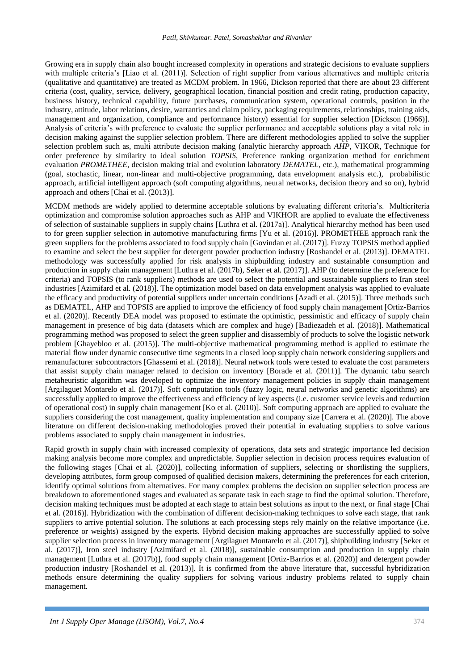Growing era in supply chain also bought increased complexity in operations and strategic decisions to evaluate suppliers with multiple criteria's [Liao et al. (2011)]. Selection of right supplier from various alternatives and multiple criteria (qualitative and quantitative) are treated as MCDM problem. In 1966, Dickson reported that there are about 23 different criteria (cost, quality, service, delivery, geographical location, financial position and credit rating, production capacity, business history, technical capability, future purchases, communication system, operational controls, position in the industry, attitude, labor relations, desire, warranties and claim policy, packaging requirements, relationships, training aids, management and organization, compliance and performance history) essential for supplier selection [Dickson (1966)]. Analysis of criteria's with preference to evaluate the supplier performance and acceptable solutions play a vital role in decision making against the supplier selection problem. There are different methodologies applied to solve the supplier selection problem such as, multi attribute decision making (analytic hierarchy approach *AHP*, VIKOR, Technique for order preference by similarity to ideal solution *TOPSIS*, Preference ranking organization method for enrichment evaluation *PROMETHEE*, decision making trial and evolution laboratory *DEMATEL*, etc.), mathematical programming (goal, stochastic, linear, non-linear and multi-objective programming, data envelopment analysis etc.), probabilistic approach, artificial intelligent approach (soft computing algorithms, neural networks, decision theory and so on), hybrid approach and others [Chai et al. (2013)].

MCDM methods are widely applied to determine acceptable solutions by evaluating different criteria's. Multicriteria optimization and compromise solution approaches such as AHP and VIKHOR are applied to evaluate the effectiveness of selection of sustainable suppliers in supply chains [Luthra et al. (2017a)]. Analytical hierarchy method has been used to for green supplier selection in automotive manufacturing firms [Yu et al. (2016)]. PROMETHEE approach rank the green suppliers for the problems associated to food supply chain [Govindan et al. (2017)]. Fuzzy TOPSIS method applied to examine and select the best supplier for detergent powder production industry [Roshandel et al. (2013)]. DEMATEL methodology was successfully applied for risk analysis in shipbuilding industry and sustainable consumption and production in supply chain management [Luthra et al. (2017b), Seker et al. (2017)]. AHP (to determine the preference for criteria) and TOPSIS (to rank suppliers) methods are used to select the potential and sustainable suppliers to Iran steel industries [Azimifard et al. (2018)]. The optimization model based on data envelopment analysis was applied to evaluate the efficacy and productivity of potential suppliers under uncertain conditions [Azadi et al. (2015)]. Three methods such as DEMATEL, AHP and TOPSIS are applied to improve the efficiency of food supply chain management [Ortiz‐Barrios et al. (2020)]. Recently DEA model was proposed to estimate the optimistic, pessimistic and efficacy of supply chain management in presence of big data (datasets which are complex and huge) [Badiezadeh et al. (2018)]. Mathematical programming method was proposed to select the green supplier and disassembly of products to solve the logistic network problem [Ghayebloo et al. (2015)]. The multi-objective mathematical programming method is applied to estimate the material flow under dynamic consecutive time segments in a closed loop supply chain network considering suppliers and remanufacturer subcontractors [Ghassemi et al. (2018)]. Neural network tools were tested to evaluate the cost parameters that assist supply chain manager related to decision on inventory [Borade et al. (2011)]. The dynamic tabu search metaheuristic algorithm was developed to optimize the inventory management policies in supply chain management [Argilaguet Montarelo et al. (2017)]. Soft computation tools (fuzzy logic, neural networks and genetic algorithms) are successfully applied to improve the effectiveness and efficiency of key aspects (i.e. customer service levels and reduction of operational cost) in supply chain management [Ko et al. (2010)]. Soft computing approach are applied to evaluate the suppliers considering the cost management, quality implementation and company size [Carrera et al. (2020)]. The above literature on different decision-making methodologies proved their potential in evaluating suppliers to solve various problems associated to supply chain management in industries.

Rapid growth in supply chain with increased complexity of operations, data sets and strategic importance led decision making analysis become more complex and unpredictable. Supplier selection in decision process requires evaluation of the following stages [Chai et al. (2020)], collecting information of suppliers, selecting or shortlisting the suppliers, developing attributes, form group composed of qualified decision makers, determining the preferences for each criterion, identify optimal solutions from alternatives. For many complex problems the decision on supplier selection process are breakdown to aforementioned stages and evaluated as separate task in each stage to find the optimal solution. Therefore, decision making techniques must be adopted at each stage to attain best solutions as input to the next, or final stage [Chai et al. (2016)]. Hybridization with the combination of different decision-making techniques to solve each stage, that rank suppliers to arrive potential solution. The solutions at each processing steps rely mainly on the relative importance (i.e. preference or weights) assigned by the experts. Hybrid decision making approaches are successfully applied to solve supplier selection process in inventory management [Argilaguet Montarelo et al. (2017)], shipbuilding industry [Seker et al. (2017)], Iron steel industry [Azimifard et al. (2018)], sustainable consumption and production in supply chain management [Luthra et al. (2017b)], food supply chain management [Ortiz‐Barrios et al. (2020)] and detergent powder production industry [Roshandel et al. (2013)]. It is confirmed from the above literature that, successful hybridization methods ensure determining the quality suppliers for solving various industry problems related to supply chain management.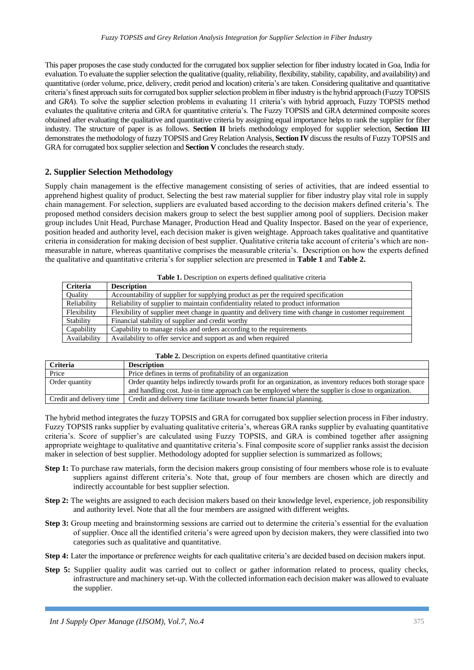This paper proposes the case study conducted for the corrugated box supplier selection for fiber industry located in Goa, India for evaluation. To evaluate the supplier selection the qualitative (quality, reliability, flexibility, stability, capability, and availability) and quantitative (order volume, price, delivery, credit period and location) criteria's are taken. Considering qualitative and quantitative criteria's finest approach suits for corrugated box supplier selection problem in fiber industry is the hybrid approach (Fuzzy TOPSIS and *GRA*). To solve the supplier selection problems in evaluating 11 criteria's with hybrid approach, Fuzzy TOPSIS method evaluates the qualitative criteria and GRA for quantitative criteria's. The Fuzzy TOPSIS and GRA determined composite scores obtained after evaluating the qualitative and quantitative criteria by assigning equal importance helps to rank the supplier for fiber industry. The structure of paper is as follows. **Section II** briefs methodology employed for supplier selection, **Section III** demonstrates the methodology of fuzzy TOPSIS and Grey Relation Analysis, **Section IV** discuss the results of Fuzzy TOPSIS and GRA for corrugated box supplier selection and **Section V** concludes the research study.

#### **2. Supplier Selection Methodology**

Supply chain management is the effective management consisting of series of activities, that are indeed essential to apprehend highest quality of product. Selecting the best raw material supplier for fiber industry play vital role in supply chain management. For selection, suppliers are evaluated based according to the decision makers defined criteria's. The proposed method considers decision makers group to select the best supplier among pool of suppliers. Decision maker group includes Unit Head, Purchase Manager, Production Head and Quality Inspector. Based on the year of experience, position headed and authority level, each decision maker is given weightage. Approach takes qualitative and quantitative criteria in consideration for making decision of best supplier. Qualitative criteria take account of criteria's which are nonmeasurable in nature, whereas quantitative comprises the measurable criteria's. Description on how the experts defined the qualitative and quantitative criteria's for supplier selection are presented in **Table 1** and **Table 2.**

| <b>Table 1.</b> Description on experts defined quantative criteria |                                                                                                       |  |  |
|--------------------------------------------------------------------|-------------------------------------------------------------------------------------------------------|--|--|
| <b>Criteria</b>                                                    | <b>Description</b>                                                                                    |  |  |
| <b>Ouality</b>                                                     | Accountability of supplier for supplying product as per the required specification                    |  |  |
| Reliability                                                        | Reliability of supplier to maintain confidentiality related to product information                    |  |  |
| Flexibility                                                        | Flexibility of supplier meet change in quantity and delivery time with change in customer requirement |  |  |
| Stability                                                          | Financial stability of supplier and credit worthy                                                     |  |  |
| Capability                                                         | Capability to manage risks and orders according to the requirements                                   |  |  |
| Availability                                                       | Availability to offer service and support as and when required                                        |  |  |

| <b>Table 1.</b> Description on experts defined qualitative criteria |  |  |
|---------------------------------------------------------------------|--|--|
|---------------------------------------------------------------------|--|--|

| <b>Criteria</b>          | <b>Description</b>                                                                                          |
|--------------------------|-------------------------------------------------------------------------------------------------------------|
| Price                    | Price defines in terms of profitability of an organization                                                  |
| Order quantity           | Order quantity helps indirectly towards profit for an organization, as inventory reduces both storage space |
|                          | and handling cost. Just-in time approach can be employed where the supplier is close to organization.       |
| Credit and delivery time | Credit and delivery time facilitate towards better financial planning.                                      |

The hybrid method integrates the fuzzy TOPSIS and GRA for corrugated box supplier selection process in Fiber industry. Fuzzy TOPSIS ranks supplier by evaluating qualitative criteria's, whereas GRA ranks supplier by evaluating quantitative criteria's. Score of supplier's are calculated using Fuzzy TOPSIS, and GRA is combined together after assigning appropriate weightage to qualitative and quantitative criteria's. Final composite score of supplier ranks assist the decision maker in selection of best supplier. Methodology adopted for supplier selection is summarized as follows;

- **Step 1:** To purchase raw materials, form the decision makers group consisting of four members whose role is to evaluate suppliers against different criteria's. Note that, group of four members are chosen which are directly and indirectly accountable for best supplier selection.
- **Step 2:** The weights are assigned to each decision makers based on their knowledge level, experience, job responsibility and authority level. Note that all the four members are assigned with different weights.
- **Step 3:** Group meeting and brainstorming sessions are carried out to determine the criteria's essential for the evaluation of supplier. Once all the identified criteria's were agreed upon by decision makers, they were classified into two categories such as qualitative and quantitative.
- **Step 4:** Later the importance or preference weights for each qualitative criteria's are decided based on decision makers input.
- **Step 5:** Supplier quality audit was carried out to collect or gather information related to process, quality checks, infrastructure and machinery set-up. With the collected information each decision maker was allowed to evaluate the supplier.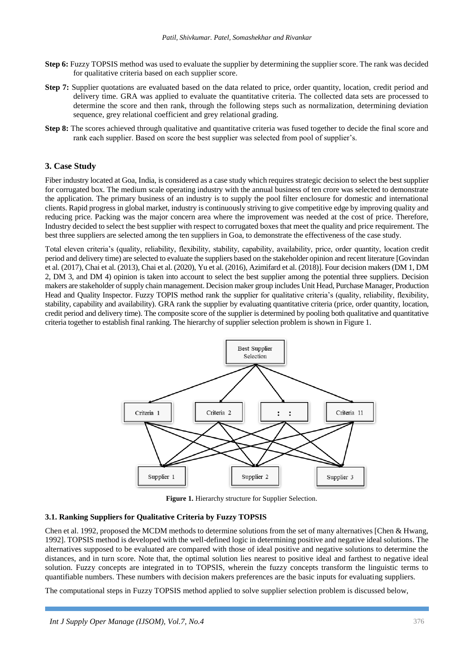- **Step 6:** Fuzzy TOPSIS method was used to evaluate the supplier by determining the supplier score. The rank was decided for qualitative criteria based on each supplier score.
- **Step 7:** Supplier quotations are evaluated based on the data related to price, order quantity, location, credit period and delivery time. GRA was applied to evaluate the quantitative criteria. The collected data sets are processed to determine the score and then rank, through the following steps such as normalization, determining deviation sequence, grey relational coefficient and grey relational grading.
- **Step 8:** The scores achieved through qualitative and quantitative criteria was fused together to decide the final score and rank each supplier. Based on score the best supplier was selected from pool of supplier's.

#### **3. Case Study**

Fiber industry located at Goa, India, is considered as a case study which requires strategic decision to select the best supplier for corrugated box. The medium scale operating industry with the annual business of ten crore was selected to demonstrate the application. The primary business of an industry is to supply the pool filter enclosure for domestic and international clients. Rapid progress in global market, industry is continuously striving to give competitive edge by improving quality and reducing price. Packing was the major concern area where the improvement was needed at the cost of price. Therefore, Industry decided to select the best supplier with respect to corrugated boxes that meet the quality and price requirement. The best three suppliers are selected among the ten suppliers in Goa, to demonstrate the effectiveness of the case study.

Total eleven criteria's (quality, reliability, flexibility, stability, capability, availability, price, order quantity, location credit period and delivery time) are selected to evaluate the suppliers based on the stakeholder opinion and recent literature [Govindan et al. (2017), Chai et al. (2013), Chai et al. (2020), Yu et al. (2016), Azimifard et al. (2018)]. Four decision makers (DM 1, DM 2, DM 3, and DM 4) opinion is taken into account to select the best supplier among the potential three suppliers. Decision makers are stakeholder of supply chain management. Decision maker group includes Unit Head, Purchase Manager, Production Head and Quality Inspector. Fuzzy TOPIS method rank the supplier for qualitative criteria's (quality, reliability, flexibility, stability, capability and availability). GRA rank the supplier by evaluating quantitative criteria (price, order quantity, location, credit period and delivery time). The composite score of the supplier is determined by pooling both qualitative and quantitative criteria together to establish final ranking. The hierarchy of supplier selection problem is shown in Figure 1.



**Figure 1.** Hierarchy structure for Supplier Selection.

#### **3.1. Ranking Suppliers for Qualitative Criteria by Fuzzy TOPSIS**

Chen et al. 1992, proposed the MCDM methods to determine solutions from the set of many alternatives [Chen & Hwang, 1992]. TOPSIS method is developed with the well-defined logic in determining positive and negative ideal solutions. The alternatives supposed to be evaluated are compared with those of ideal positive and negative solutions to determine the distances, and in turn score. Note that, the optimal solution lies nearest to positive ideal and farthest to negative ideal solution. Fuzzy concepts are integrated in to TOPSIS, wherein the fuzzy concepts transform the linguistic terms to quantifiable numbers. These numbers with decision makers preferences are the basic inputs for evaluating suppliers.

The computational steps in Fuzzy TOPSIS method applied to solve supplier selection problem is discussed below,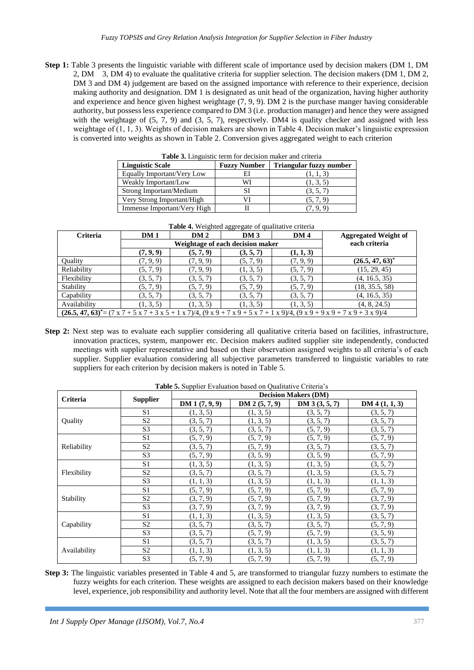**Step 1:** Table 3 presents the linguistic variable with different scale of importance used by decision makers (DM 1, DM 2, DM 3, DM 4) to evaluate the qualitative criteria for supplier selection. The decision makers (DM 1, DM 2, DM 3 and DM 4) judgement are based on the assigned importance with reference to their experience, decision making authority and designation. DM 1 is designated as unit head of the organization, having higher authority and experience and hence given highest weightage (7, 9, 9). DM 2 is the purchase manger having considerable authority, but possess less experience compared to DM 3 (i.e. production manager) and hence they were assigned with the weightage of  $(5, 7, 9)$  and  $(3, 5, 7)$ , respectively. DM4 is quality checker and assigned with less weightage of (1, 1, 3). Weights of decision makers are shown in Table 4. Decision maker's linguistic expression is converted into weights as shown in Table 2. Conversion gives aggregated weight to each criterion

| <b>Table 3.</b> Linguistic term for decision maker and criteria |                     |                         |  |  |  |
|-----------------------------------------------------------------|---------------------|-------------------------|--|--|--|
| <b>Linguistic Scale</b>                                         | <b>Fuzzy Number</b> | Triangular fuzzy number |  |  |  |
| Equally Important/Very Low                                      | EI                  | (1, 1, 3)               |  |  |  |
| Weakly Important/Low                                            | WI                  | (1, 3, 5)               |  |  |  |
| Strong Important/Medium                                         | SI                  | (3, 5, 7)               |  |  |  |
| Very Strong Important/High                                      | VI                  | (5, 7, 9)               |  |  |  |
| Immense Important/Very High                                     |                     | (7, 9, 9)               |  |  |  |

| Weakly Important/Low        | WI | (1, 3, 5) |
|-----------------------------|----|-----------|
| Strong Important/Medium     |    |           |
| Very Strong Important/High  |    | (5, 7, 9) |
| Immense Important/Very High |    |           |

| <b>Table 4.</b> Weighted aggregate of qualitative criteria                                                                                                                                     |                                  |                 |           |                 |                             |  |
|------------------------------------------------------------------------------------------------------------------------------------------------------------------------------------------------|----------------------------------|-----------------|-----------|-----------------|-----------------------------|--|
| <b>Criteria</b>                                                                                                                                                                                | DM1                              | DM <sub>2</sub> | DM3       | DM <sub>4</sub> | <b>Aggregated Weight of</b> |  |
|                                                                                                                                                                                                | Weightage of each decision maker |                 |           |                 | each criteria               |  |
|                                                                                                                                                                                                | (7, 9, 9)                        | (5, 7, 9)       | (3, 5, 7) | (1, 1, 3)       |                             |  |
| <b>Ouality</b>                                                                                                                                                                                 | (7, 9, 9)                        | (7, 9, 9)       | (5, 7, 9) | (7, 9, 9)       | $(26.5, 47, 63)^*$          |  |
| Reliability                                                                                                                                                                                    | (5, 7, 9)                        | (7, 9, 9)       | (1, 3, 5) | (5, 7, 9)       | (15, 29, 45)                |  |
| Flexibility                                                                                                                                                                                    | (3, 5, 7)                        | (3, 5, 7)       | (3, 5, 7) | (3, 5, 7)       | (4, 16.5, 35)               |  |
| Stability                                                                                                                                                                                      | (5, 7, 9)                        | (5, 7, 9)       | (5, 7, 9) | (5, 7, 9)       | (18, 35.5, 58)              |  |
| Capability                                                                                                                                                                                     | (3, 5, 7)                        | (3, 5, 7)       | (3, 5, 7) | (3, 5, 7)       | (4, 16.5, 35)               |  |
| Availability                                                                                                                                                                                   | (1, 3, 5)                        | (1, 3, 5)       | (1, 3, 5) | (1, 3, 5)       | (4, 8, 24.5)                |  |
| $(26.5, 47, 63)^* = (7 \times 7 + 5 \times 7 + 3 \times 5 + 1 \times 7)/4$ , $(9 \times 9 + 7 \times 9 + 5 \times 7 + 1 \times 9)/4$ , $(9 \times 9 + 9 \times 9 + 7 \times 9 + 3 \times 9)/4$ |                                  |                 |           |                 |                             |  |

**Step 2:** Next step was to evaluate each supplier considering all qualitative criteria based on facilities, infrastructure, innovation practices, system, manpower etc. Decision makers audited supplier site independently, conducted meetings with supplier representative and based on their observation assigned weights to all criteria's of each supplier. Supplier evaluation considering all subjective parameters transferred to linguistic variables to rate suppliers for each criterion by decision makers is noted in Table 5.

|              |                 | <b>Tuble of Bupplier Evaluation based on Quantum &amp; Chiefin</b> B<br><b>Decision Makers (DM)</b> |                |              |                |  |
|--------------|-----------------|-----------------------------------------------------------------------------------------------------|----------------|--------------|----------------|--|
| Criteria     | <b>Supplier</b> | DM 1 (7, 9, 9)                                                                                      | DM 2 (5, 7, 9) | DM3(3, 5, 7) | DM 4 (1, 1, 3) |  |
|              | S <sub>1</sub>  | (1, 3, 5)                                                                                           | (1, 3, 5)      | (3, 5, 7)    | (3, 5, 7)      |  |
| Quality      | S <sub>2</sub>  | (3, 5, 7)                                                                                           | (1, 3, 5)      | (3, 5, 7)    | (3, 5, 7)      |  |
|              | S <sub>3</sub>  | (3, 5, 7)                                                                                           | (3, 5, 7)      | (5, 7, 9)    | (3, 5, 7)      |  |
|              | S <sub>1</sub>  | (5, 7, 9)                                                                                           | (5, 7, 9)      | (5, 7, 9)    | (5, 7, 9)      |  |
| Reliability  | S <sub>2</sub>  | (3, 5, 7)                                                                                           | (5, 7, 9)      | (3, 5, 7)    | (3, 5, 7)      |  |
|              | S <sub>3</sub>  | (5, 7, 9)                                                                                           | (3, 5, 9)      | (3, 5, 9)    | (5, 7, 9)      |  |
|              | S <sub>1</sub>  | (1, 3, 5)                                                                                           | (1, 3, 5)      | (1, 3, 5)    | (3, 5, 7)      |  |
| Flexibility  | S <sub>2</sub>  | (3, 5, 7)                                                                                           | (3, 5, 7)      | (1, 3, 5)    | (3, 5, 7)      |  |
|              | S <sub>3</sub>  | (1, 1, 3)                                                                                           | (1, 3, 5)      | (1, 1, 3)    | (1, 1, 3)      |  |
|              | S <sub>1</sub>  | (5, 7, 9)                                                                                           | (5, 7, 9)      | (5, 7, 9)    | (5, 7, 9)      |  |
| Stability    | S <sub>2</sub>  | (3, 7, 9)                                                                                           | (5, 7, 9)      | (5, 7, 9)    | (3, 7, 9)      |  |
|              | S <sub>3</sub>  | (3, 7, 9)                                                                                           | (3, 7, 9)      | (3, 7, 9)    | (3, 7, 9)      |  |
|              | S1              | (1, 1, 3)                                                                                           | (1, 3, 5)      | (1, 3, 5)    | (3, 5, 7)      |  |
| Capability   | S <sub>2</sub>  | (3, 5, 7)                                                                                           | (3, 5, 7)      | (3, 5, 7)    | (5, 7, 9)      |  |
|              | S <sub>3</sub>  | (3, 5, 7)                                                                                           | (5, 7, 9)      | (5, 7, 9)    | (3, 5, 9)      |  |
|              | S <sub>1</sub>  | (3, 5, 7)                                                                                           | (3, 5, 7)      | (1, 3, 5)    | (3, 5, 7)      |  |
| Availability | S <sub>2</sub>  | (1, 1, 3)                                                                                           | (1, 3, 5)      | (1, 1, 3)    | (1, 1, 3)      |  |
|              | S <sub>3</sub>  | (5, 7, 9)                                                                                           | (5, 7, 9)      | (5, 7, 9)    | (5, 7, 9)      |  |

**Table 5.** Supplier Evaluation based on Qualitative Criteria's

**Step 3:** The linguistic variables presented in Table 4 and 5, are transformed to triangular fuzzy numbers to estimate the fuzzy weights for each criterion. These weights are assigned to each decision makers based on their knowledge level, experience, job responsibility and authority level. Note that all the four members are assigned with different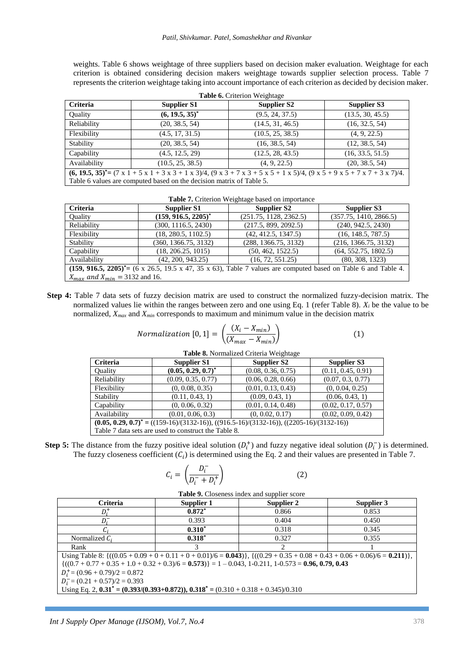weights. Table 6 shows weightage of three suppliers based on decision maker evaluation. Weightage for each criterion is obtained considering decision makers weightage towards supplier selection process. Table 7 represents the criterion weightage taking into account importance of each criterion as decided by decision maker.

| <b>Table 6.</b> Criterion Weightage                                                                                                                                                             |                    |                    |                    |  |  |  |
|-------------------------------------------------------------------------------------------------------------------------------------------------------------------------------------------------|--------------------|--------------------|--------------------|--|--|--|
| <b>Criteria</b>                                                                                                                                                                                 | <b>Supplier S1</b> | <b>Supplier S2</b> | <b>Supplier S3</b> |  |  |  |
| Quality                                                                                                                                                                                         | $(6, 19.5, 35)^*$  | (9.5, 24, 37.5)    | (13.5, 30, 45.5)   |  |  |  |
| Reliability                                                                                                                                                                                     | (20, 38.5, 54)     | (14.5, 31, 46.5)   | (16, 32.5, 54)     |  |  |  |
| Flexibility                                                                                                                                                                                     | (4.5, 17, 31.5)    | (10.5, 25, 38.5)   | (4, 9, 22.5)       |  |  |  |
| Stability                                                                                                                                                                                       | (20, 38.5, 54)     | (16, 38.5, 54)     | (12, 38.5, 54)     |  |  |  |
| Capability                                                                                                                                                                                      | (4.5, 12.5, 29)    | (12.5, 28, 43.5)   | (16, 33.5, 51.5)   |  |  |  |
| Availability<br>(10.5, 25, 38.5)<br>(4, 9, 22.5)<br>(20, 38.5, 54)                                                                                                                              |                    |                    |                    |  |  |  |
| $(6, 19.5, 35)^* = (7 \times 1 + 5 \times 1 + 3 \times 3 + 1 \times 3)/4$ , $(9 \times 3 + 7 \times 3 + 5 \times 5 + 1 \times 5)/4$ , $(9 \times 5 + 9 \times 5 + 7 \times 7 + 3 \times 7)/4$ . |                    |                    |                    |  |  |  |
| Table 6 values are computed based on the decision matrix of Table 5.                                                                                                                            |                    |                    |                    |  |  |  |

| Table 7. Criterion Weightage based on importance                                                                                   |                        |                        |                        |  |  |
|------------------------------------------------------------------------------------------------------------------------------------|------------------------|------------------------|------------------------|--|--|
| <b>Criteria</b>                                                                                                                    | <b>Supplier S1</b>     | <b>Supplier S2</b>     | Supplier S3            |  |  |
| Ouality                                                                                                                            | $(159, 916.5, 2205)^*$ | (251.75, 1128, 2362.5) | (357.75, 1410, 2866.5) |  |  |
| Reliability                                                                                                                        | (300, 1116.5, 2430)    | (217.5, 899, 2092.5)   | (240, 942.5, 2430)     |  |  |
| Flexibility                                                                                                                        | (18, 280.5, 1102.5)    | (42, 412.5, 1347.5)    | (16, 148.5, 787.5)     |  |  |
| Stability                                                                                                                          | (360, 1366.75, 3132)   | (288, 1366.75, 3132)   | (216, 1366.75, 3132)   |  |  |
| Capability                                                                                                                         | (18, 206.25, 1015)     | (50, 462, 1522.5)      | (64, 552.75, 1802.5)   |  |  |
| Availability                                                                                                                       | (42, 200, 943.25)      | (16, 72, 551.25)       | (80, 308, 1323)        |  |  |
| $(159, 916.5, 2205)^* = (6 \times 26.5, 19.5 \times 47, 35 \times 63)$ , Table 7 values are computed based on Table 6 and Table 4. |                        |                        |                        |  |  |
| $X_{max}$ and $X_{min} = 3132$ and 16.                                                                                             |                        |                        |                        |  |  |

**Step 4:** Table 7 data sets of fuzzy decision matrix are used to construct the normalized fuzzy-decision matrix. The normalized values lie within the ranges between zero and one using Eq. 1 (refer Table 8). *X<sup>i</sup>* be the value to be normalized, *Xmax* and *Xmin* corresponds to maximum and minimum value in the decision matrix

| <i>Normalization</i> $[0, 1] = \left(\frac{(X_i - X_{min})}{(X_{max} - X_{min})}\right)$ |  |  |
|------------------------------------------------------------------------------------------|--|--|
|                                                                                          |  |  |

| <b>Criteria</b>                                                                             | <b>Supplier S1</b>    | Supplier S2        | <b>Supplier S3</b> |  |  |
|---------------------------------------------------------------------------------------------|-----------------------|--------------------|--------------------|--|--|
| Ouality                                                                                     | $(0.05, 0.29, 0.7)^*$ | (0.08, 0.36, 0.75) | (0.11, 0.45, 0.91) |  |  |
| Reliability                                                                                 | (0.09, 0.35, 0.77)    | (0.06, 0.28, 0.66) | (0.07, 0.3, 0.77)  |  |  |
| Flexibility                                                                                 | (0, 0.08, 0.35)       | (0.01, 0.13, 0.43) | (0, 0.04, 0.25)    |  |  |
| Stability                                                                                   | (0.11, 0.43, 1)       | (0.09, 0.43, 1)    | (0.06, 0.43, 1)    |  |  |
| Capability                                                                                  | (0, 0.06, 0.32)       | (0.01, 0.14, 0.48) | (0.02, 0.17, 0.57) |  |  |
| Availability                                                                                | (0.01, 0.06, 0.3)     | (0, 0.02, 0.17)    | (0.02, 0.09, 0.42) |  |  |
| $(0.05, 0.29, 0.7)^*$ = ((159-16)/(3132-16)), ((916.5-16)/(3132-16)), ((2205-16)/(3132-16)) |                       |                    |                    |  |  |
| Table 7 data sets are used to construct the Table 8.                                        |                       |                    |                    |  |  |
|                                                                                             |                       |                    |                    |  |  |

**Table 8.** Normalized Criteria Weightage

**Step 5:** The distance from the fuzzy positive ideal solution  $(D_i^+)$  and fuzzy negative ideal solution  $(D_i^-)$  is determined. The fuzzy closeness coefficient  $(C_i)$  is determined using the Eq. 2 and their values are presented in Table 7.

$$
C_i = \left(\frac{D_i^-}{D_i^- + D_i^+}\right) \tag{2}
$$

**Table 9.** Closeness index and supplier score

| <b>Tuble</b> 2. Closeness much and supplier score                                                                                  |            |            |            |  |  |  |  |  |
|------------------------------------------------------------------------------------------------------------------------------------|------------|------------|------------|--|--|--|--|--|
| <b>Criteria</b>                                                                                                                    | Supplier 1 | Supplier 2 | Supplier 3 |  |  |  |  |  |
| D.+                                                                                                                                | $0.872*$   | 0.866      | 0.853      |  |  |  |  |  |
|                                                                                                                                    | 0.393      | 0.404      | 0.450      |  |  |  |  |  |
|                                                                                                                                    | $0.310*$   | 0.318      | 0.345      |  |  |  |  |  |
| Normalized $C_i$                                                                                                                   | $0.318^*$  | 0.327      | 0.355      |  |  |  |  |  |
| Rank                                                                                                                               |            |            |            |  |  |  |  |  |
| Using Table 8: $\{(0.05 + 0.09 + 0 + 0.11 + 0 + 0.01)/6 = 0.043)\}\$ , $\{(0.29 + 0.35 + 0.08 + 0.43 + 0.06 + 0.06)/6 = 0.211)\}\$ |            |            |            |  |  |  |  |  |
| $\{(0.7 + 0.77 + 0.35 + 1.0 + 0.32 + 0.3)/6 = 0.573\} = 1 - 0.043, 1 - 0.211, 1 - 0.573 = 0.96, 0.79, 0.43$                        |            |            |            |  |  |  |  |  |
| $D_i^+$ = (0.96 + 0.79)/2 = 0.872                                                                                                  |            |            |            |  |  |  |  |  |
| $D_i = (0.21 + 0.57)/2 = 0.393$                                                                                                    |            |            |            |  |  |  |  |  |
| Using Eq. 2, $0.31^* = (0.393/(0.393+0.872))$ , $0.318^* = (0.310 + 0.318 + 0.345)/0.310$                                          |            |            |            |  |  |  |  |  |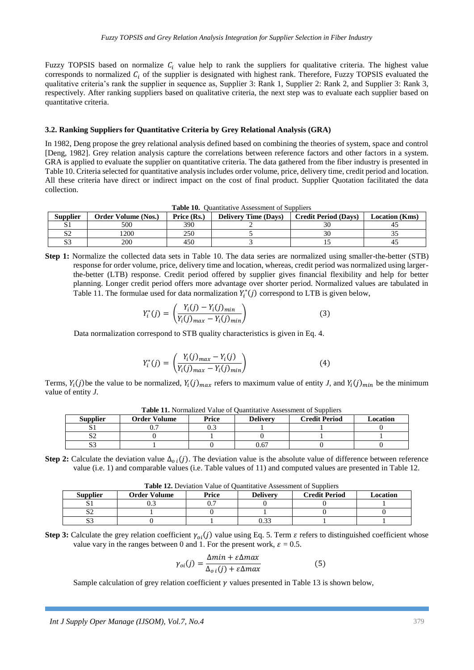Fuzzy TOPSIS based on normalize  $C_i$  value help to rank the suppliers for qualitative criteria. The highest value corresponds to normalized  $C_i$  of the supplier is designated with highest rank. Therefore, Fuzzy TOPSIS evaluated the qualitative criteria's rank the supplier in sequence as, Supplier 3: Rank 1, Supplier 2: Rank 2, and Supplier 3: Rank 3, respectively. After ranking suppliers based on qualitative criteria, the next step was to evaluate each supplier based on quantitative criteria.

#### **3.2. Ranking Suppliers for Quantitative Criteria by Grey Relational Analysis (GRA)**

In 1982, Deng propose the grey relational analysis defined based on combining the theories of system, space and control [Deng, 1982]. Grey relation analysis capture the correlations between reference factors and other factors in a system. GRA is applied to evaluate the supplier on quantitative criteria. The data gathered from the fiber industry is presented in Table 10. Criteria selected for quantitative analysis includes order volume, price, delivery time, credit period and location. All these criteria have direct or indirect impact on the cost of final product. Supplier Quotation facilitated the data collection.

|  | Table 10. Quantitative Assessment of Suppliers |  |  |
|--|------------------------------------------------|--|--|
|--|------------------------------------------------|--|--|

| <b>Supplier</b>     | <b>Order Volume (Nos.)</b> | Price (Rs.)<br><b>Delivery Time (Days)</b> |  | <b>Credit Period (Days)</b> | <b>Location</b> (Kms) |  |
|---------------------|----------------------------|--------------------------------------------|--|-----------------------------|-----------------------|--|
|                     | 500                        | 390                                        |  |                             | 4.                    |  |
| ື້                  | 1200                       | 250                                        |  |                             | ◡                     |  |
| $\sim$ $\sim$<br>ມມ | 200                        | 450                                        |  |                             | -41                   |  |

**Step 1:** Normalize the collected data sets in Table 10. The data series are normalized using smaller-the-better (STB) response for order volume, price, delivery time and location, whereas, credit period was normalized using largerthe-better (LTB) response. Credit period offered by supplier gives financial flexibility and help for better planning. Longer credit period offers more advantage over shorter period. Normalized values are tabulated in Table 11. The formulae used for data normalization  $Y_i^*(j)$  correspond to LTB is given below,

$$
Y_{i}^{*}(j) = \left(\frac{Y_{i}(j) - Y_{i}(j)_{min}}{Y_{i}(j)_{max} - Y_{i}(j)_{min}}\right)
$$
(3)

Data normalization correspond to STB quality characteristics is given in Eq. 4.

$$
Y_{i}^{*}(j) = \left(\frac{Y_{i}(j)_{max} - Y_{i}(j)}{Y_{i}(j)_{max} - Y_{i}(j)_{min}}\right)
$$
(4)

Terms,  $Y_i(j)$  be the value to be normalized,  $Y_i(j)_{max}$  refers to maximum value of entity *J*, and  $Y_i(j)_{min}$  be the minimum value of entity *J*.

| <b>Supplier</b> | <b>Order Volume</b> | Price<br><b>Delivery</b> |      | <b>Credit Period</b> | Location |  |
|-----------------|---------------------|--------------------------|------|----------------------|----------|--|
|                 |                     | ل. ر                     |      |                      |          |  |
| ື້              |                     |                          |      |                      |          |  |
| ມມ              |                     |                          | 0.67 |                      |          |  |

**Table 11.** Normalized Value of Quantitative Assessment of Suppliers

**Step 2:** Calculate the deviation value  $\Delta_{oi}(j)$ . The deviation value is the absolute value of difference between reference value (i.e. 1) and comparable values (i.e. Table values of 11) and computed values are presented in Table 12.

| <b>Table 12.</b> Deviation Value of Ouantitative Assessment of Suppliers |                     |          |  |  |  |  |  |  |
|--------------------------------------------------------------------------|---------------------|----------|--|--|--|--|--|--|
| <b>Supplier</b>                                                          | <b>Order Volume</b> | Location |  |  |  |  |  |  |
|                                                                          | ∪.∟                 |          |  |  |  |  |  |  |
|                                                                          |                     |          |  |  |  |  |  |  |
| .                                                                        |                     |          |  |  |  |  |  |  |

**Table 12.** Deviation Value of Quantitative Assessment of Suppliers

**Step 3:** Calculate the grey relation coefficient  $\gamma_{oi}(j)$  value using Eq. 5. Term  $\varepsilon$  refers to distinguished coefficient whose value vary in the ranges between 0 and 1. For the present work,  $\varepsilon = 0.5$ .

$$
\gamma_{oi}(j) = \frac{\Delta min + \varepsilon \Delta max}{\Delta_{oi}(j) + \varepsilon \Delta max}
$$
(5)

Sample calculation of grey relation coefficient  $\gamma$  values presented in Table 13 is shown below,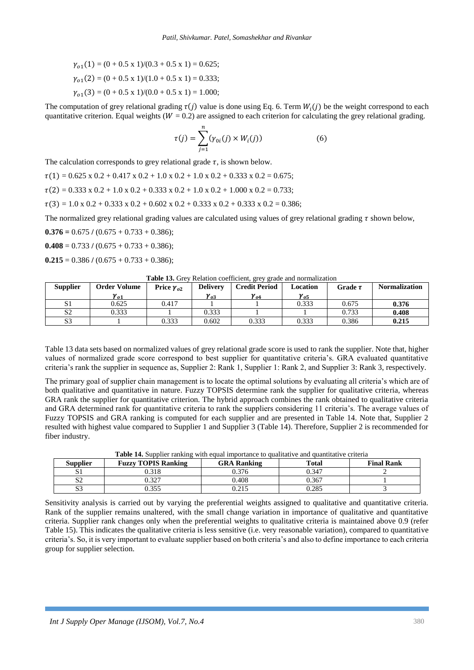$$
\gamma_{o1}(1) = (0 + 0.5 \times 1)/(0.3 + 0.5 \times 1) = 0.625;
$$
  
\n
$$
\gamma_{o1}(2) = (0 + 0.5 \times 1)/(1.0 + 0.5 \times 1) = 0.333;
$$
  
\n
$$
\gamma_{o1}(3) = (0 + 0.5 \times 1)/(0.0 + 0.5 \times 1) = 1.000;
$$

The computation of grey relational grading  $\tau(j)$  value is done using Eq. 6. Term  $W_i(j)$  be the weight correspond to each quantitative criterion. Equal weights ( $W = 0.2$ ) are assigned to each criterion for calculating the grey relational grading.

$$
\tau(j) = \sum_{j=1}^{n} (\gamma_{0i}(j) \times W_i(j)) \tag{6}
$$

The calculation corresponds to grey relational grade  $\tau$ , is shown below.

 $\tau(1) = 0.625 \times 0.2 + 0.417 \times 0.2 + 1.0 \times 0.2 + 1.0 \times 0.2 + 0.333 \times 0.2 = 0.675$ ;

 $\tau(2) = 0.333 \times 0.2 + 1.0 \times 0.2 + 0.333 \times 0.2 + 1.0 \times 0.2 + 1.000 \times 0.2 = 0.733$ ;

 $\tau(3) = 1.0 \times 0.2 + 0.333 \times 0.2 + 0.602 \times 0.2 + 0.333 \times 0.2 + 0.333 \times 0.2 = 0.386$ ;

The normalized grey relational grading values are calculated using values of grey relational grading  $\tau$  shown below,

 $0.376 = 0.675 / (0.675 + 0.733 + 0.386);$ 

 $0.408 = 0.733 / (0.675 + 0.733 + 0.386);$ 

 $0.215 = 0.386 / (0.675 + 0.733 + 0.386);$ 

| <b>Supplier</b> | Order Volume      | Price $\gamma_{02}$ | <b>Delivery</b> | <b>Credit Period</b> | Location      | Grade $\tau$ | <b>Normalization</b> |
|-----------------|-------------------|---------------------|-----------------|----------------------|---------------|--------------|----------------------|
|                 | $\mathbf{v}_{o1}$ |                     | $v_{o3}$        | $v_{04}$             | $\gamma_{o5}$ |              |                      |
| S <sub>1</sub>  | 0.625             | 0.417               |                 |                      | 0.333         | 0.675        | 0.376                |
| S <sub>2</sub>  | 0.333             |                     | 0.333           |                      |               | 0.733        | 0.408                |
| S <sub>3</sub>  |                   | 0.333               | 0.602           | 0.333                | 0.333         | 0.386        | 0.215                |

Table 13 data sets based on normalized values of grey relational grade score is used to rank the supplier. Note that, higher values of normalized grade score correspond to best supplier for quantitative criteria's. GRA evaluated quantitative criteria's rank the supplier in sequence as, Supplier 2: Rank 1, Supplier 1: Rank 2, and Supplier 3: Rank 3, respectively.

The primary goal of supplier chain management is to locate the optimal solutions by evaluating all criteria's which are of both qualitative and quantitative in nature. Fuzzy TOPSIS determine rank the supplier for qualitative criteria, whereas GRA rank the supplier for quantitative criterion. The hybrid approach combines the rank obtained to qualitative criteria and GRA determined rank for quantitative criteria to rank the suppliers considering 11 criteria's. The average values of Fuzzy TOPSIS and GRA ranking is computed for each supplier and are presented in Table 14. Note that, Supplier 2 resulted with highest value compared to Supplier 1 and Supplier 3 (Table 14). Therefore, Supplier 2 is recommended for fiber industry.

|                 | .                          |                    |       |                   |  |  |  |  |  |  |
|-----------------|----------------------------|--------------------|-------|-------------------|--|--|--|--|--|--|
| <b>Supplier</b> | <b>Fuzzy TOPIS Ranking</b> | <b>GRA Ranking</b> |       | <b>Final Rank</b> |  |  |  |  |  |  |
| ມ⊥              | 318.                       | J.376              | 0.347 |                   |  |  |  |  |  |  |
| S2              | 0.327                      | .408               | 0.367 |                   |  |  |  |  |  |  |
| $\sim$<br>ມມ    | 0.355                      | 0.215              | 0.285 |                   |  |  |  |  |  |  |

**Table 14.** Supplier ranking with equal importance to qualitative and quantitative criteria

Sensitivity analysis is carried out by varying the preferential weights assigned to qualitative and quantitative criteria. Rank of the supplier remains unaltered, with the small change variation in importance of qualitative and quantitative criteria. Supplier rank changes only when the preferential weights to qualitative criteria is maintained above 0.9 (refer Table 15). This indicates the qualitative criteria is less sensitive (i.e. very reasonable variation), compared to quantitative criteria's. So, it is very important to evaluate supplier based on both criteria's and also to define importance to each criteria group for supplier selection.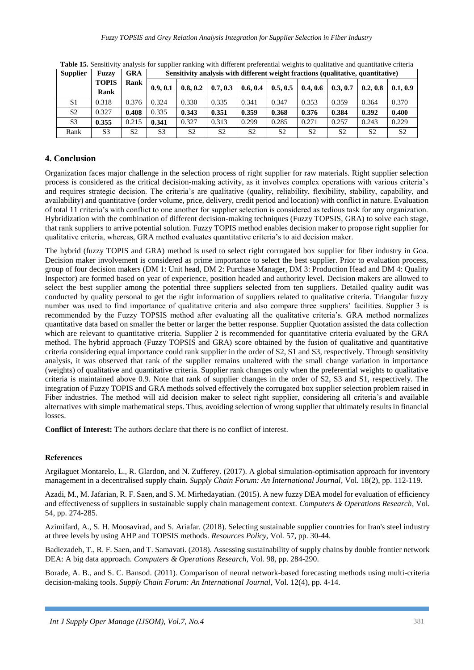| <b>Supplier</b> | <b>Fuzzy</b>         | <b>GRA</b>     |                | Sensitivity analysis with different weight fractions (qualitative, quantitative) |                |                |                |                |                |                |                |
|-----------------|----------------------|----------------|----------------|----------------------------------------------------------------------------------|----------------|----------------|----------------|----------------|----------------|----------------|----------------|
|                 | <b>TOPIS</b><br>Rank | Rank           | 0.9.0.1        | 0.8, 0.2                                                                         | 0.7.0.3        | 0.6, 0.4       | 0.5, 0.5       | 0.4.0.6        | 0.3, 0.7       | 0.2.0.8        | 0.1, 0.9       |
| S1              | 0.318                | 0.376          | 0.324          | 0.330                                                                            | 0.335          | 0.341          | 0.347          | 0.353          | 0.359          | 0.364          | 0.370          |
| S <sub>2</sub>  | 0.327                | 0.408          | 0.335          | 0.343                                                                            | 0.351          | 0.359          | 0.368          | 0.376          | 0.384          | 0.392          | 0.400          |
| S <sub>3</sub>  | 0.355                | 0.215          | 0.341          | 0.327                                                                            | 0.313          | 0.299          | 0.285          | 0.271          | 0.257          | 0.243          | 0.229          |
| Rank            | S <sub>3</sub>       | S <sub>2</sub> | S <sub>3</sub> | S <sub>2</sub>                                                                   | S <sub>2</sub> | S <sub>2</sub> | S <sub>2</sub> | S <sub>2</sub> | S <sub>2</sub> | S <sub>2</sub> | S <sub>2</sub> |

**Table 15.** Sensitivity analysis for supplier ranking with different preferential weights to qualitative and quantitative criteria

## **4. Conclusion**

Organization faces major challenge in the selection process of right supplier for raw materials. Right supplier selection process is considered as the critical decision-making activity, as it involves complex operations with various criteria's and requires strategic decision. The criteria's are qualitative (quality, reliability, flexibility, stability, capability, and availability) and quantitative (order volume, price, delivery, credit period and location) with conflict in nature. Evaluation of total 11 criteria's with conflict to one another for supplier selection is considered as tedious task for any organization. Hybridization with the combination of different decision-making techniques (Fuzzy TOPSIS, GRA) to solve each stage, that rank suppliers to arrive potential solution. Fuzzy TOPIS method enables decision maker to propose right supplier for qualitative criteria, whereas, GRA method evaluates quantitative criteria's to aid decision maker.

The hybrid (fuzzy TOPIS and GRA) method is used to select right corrugated box supplier for fiber industry in Goa. Decision maker involvement is considered as prime importance to select the best supplier. Prior to evaluation process, group of four decision makers (DM 1: Unit head, DM 2: Purchase Manager, DM 3: Production Head and DM 4: Quality Inspector) are formed based on year of experience, position headed and authority level. Decision makers are allowed to select the best supplier among the potential three suppliers selected from ten suppliers. Detailed quality audit was conducted by quality personal to get the right information of suppliers related to qualitative criteria. Triangular fuzzy number was used to find importance of qualitative criteria and also compare three suppliers' facilities. Supplier 3 is recommended by the Fuzzy TOPSIS method after evaluating all the qualitative criteria's. GRA method normalizes quantitative data based on smaller the better or larger the better response. Supplier Quotation assisted the data collection which are relevant to quantitative criteria. Supplier 2 is recommended for quantitative criteria evaluated by the GRA method. The hybrid approach (Fuzzy TOPSIS and GRA) score obtained by the fusion of qualitative and quantitative criteria considering equal importance could rank supplier in the order of S2, S1 and S3, respectively. Through sensitivity analysis, it was observed that rank of the supplier remains unaltered with the small change variation in importance (weights) of qualitative and quantitative criteria. Supplier rank changes only when the preferential weights to qualitative criteria is maintained above 0.9. Note that rank of supplier changes in the order of S2, S3 and S1, respectively. The integration of Fuzzy TOPIS and GRA methods solved effectively the corrugated box supplier selection problem raised in Fiber industries. The method will aid decision maker to select right supplier, considering all criteria's and available alternatives with simple mathematical steps. Thus, avoiding selection of wrong supplier that ultimately results in financial losses.

**Conflict of Interest:** The authors declare that there is no conflict of interest.

## **References**

Argilaguet Montarelo, L., R. Glardon, and N. Zufferey. (2017). A global simulation-optimisation approach for inventory management in a decentralised supply chain. *Supply Chain Forum: An International Journal,* Vol*.* 18(2), pp. 112-119.

Azadi, M., M. Jafarian, R. F. Saen, and S. M. Mirhedayatian. (2015). A new fuzzy DEA model for evaluation of efficiency and effectiveness of suppliers in sustainable supply chain management context. *Computers & Operations Research,* Vol*.* 54, pp. 274-285.

Azimifard, A., S. H. Moosavirad, and S. Ariafar. (2018). Selecting sustainable supplier countries for Iran's steel industry at three levels by using AHP and TOPSIS methods. *Resources Policy,* Vol*.* 57, pp. 30-44.

Badiezadeh, T., R. F. Saen, and T. Samavati. (2018). Assessing sustainability of supply chains by double frontier network DEA: A big data approach. *Computers & Operations Research,* Vol*.* 98, pp. 284-290.

Borade, A. B., and S. C. Bansod. (2011). Comparison of neural network-based forecasting methods using multi-criteria decision-making tools. *Supply Chain Forum: An International Journal*, Vol*.* 12(4), pp. 4-14.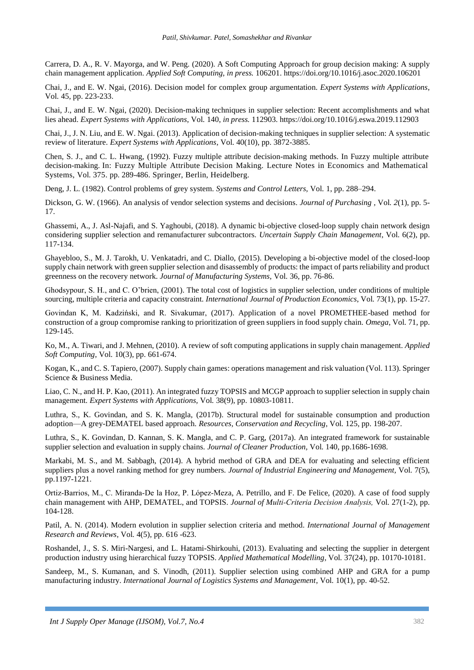Carrera, D. A., R. V. Mayorga, and W. Peng. (2020). A Soft Computing Approach for group decision making: A supply chain management application. *Applied Soft Computing, in press.* 106201[. https://doi.org/10.1016/j.asoc.2020.106201](https://doi.org/10.1016/j.asoc.2020.106201)

Chai, J., and E. W. Ngai, (2016). Decision model for complex group argumentation. *Expert Systems with Applications*, Vol*.* 45, pp. 223-233.

Chai, J., and E. W. Ngai, (2020). Decision-making techniques in supplier selection: Recent accomplishments and what lies ahead. *Expert Systems with Applications*, Vol*.* 140, *in press.* 112903. https://doi.org/10.1016/j.eswa.2019.112903

Chai, J., J. N. Liu, and E. W. Ngai. (2013). Application of decision-making techniques in supplier selection: A systematic review of literature. *Expert Systems with Applications*, Vol*.* 40(10), pp. 3872-3885.

Chen, S. J., and C. L. Hwang, (1992). Fuzzy multiple attribute decision-making methods. In Fuzzy multiple attribute decision-making. In: Fuzzy Multiple Attribute Decision Making. Lecture Notes in Economics and Mathematical Systems, Vol*.* 375. pp. 289-486. Springer, Berlin, Heidelberg.

Deng, J. L. (1982). Control problems of grey system. *Systems and Control Letters,* Vol*.* 1, pp. 288–294.

Dickson, G. W. (1966). An analysis of vendor selection systems and decisions. *Journal of Purchasing* , Vol*. 2*(1), pp. 5- 17.

Ghassemi, A., J. Asl-Najafi, and S. Yaghoubi, (2018). A dynamic bi-objective closed-loop supply chain network design considering supplier selection and remanufacturer subcontractors. *Uncertain Supply Chain Management*, Vol*.* 6(2), pp. 117-134.

Ghayebloo, S., M. J. Tarokh, U. Venkatadri, and C. Diallo, (2015). Developing a bi-objective model of the closed-loop supply chain network with green supplier selection and disassembly of products: the impact of parts reliability and product greenness on the recovery network. *Journal of Manufacturing Systems,* Vol*.* 36, pp. 76-86.

Ghodsypour, S. H., and C. O'brien, (2001). The total cost of logistics in supplier selection, under conditions of multiple sourcing, multiple criteria and capacity constraint. *International Journal of Production Economics*, Vol*.* 73(1), pp. 15-27.

Govindan K, M. Kadziński, and R. Sivakumar, (2017). Application of a novel PROMETHEE-based method for construction of a group compromise ranking to prioritization of green suppliers in food supply chain. *Omega*, Vol*.* 71, pp. 129-145.

Ko, M., A. Tiwari, and J. Mehnen, (2010). A review of soft computing applications in supply chain management. *Applied Soft Computing*, Vol*.* 10(3), pp. 661-674.

Kogan, K., and C. S. Tapiero, (2007). Supply chain games: operations management and risk valuation (Vol. 113). Springer Science & Business Media.

Liao, C. N., and H. P. Kao, (2011). An integrated fuzzy TOPSIS and MCGP approach to supplier selection in supply chain management. *Expert Systems with Applications,* Vol*.* 38(9), pp. 10803-10811.

Luthra, S., K. Govindan, and S. K. Mangla, (2017b). Structural model for sustainable consumption and production adoption—A grey-DEMATEL based approach. *Resources, Conservation and Recycling*, Vol*.* 125, pp. 198-207.

Luthra, S., K. Govindan, D. Kannan, S. K. Mangla, and C. P. Garg, (2017a). An integrated framework for sustainable supplier selection and evaluation in supply chains. *Journal of Cleaner Production,* Vol*.* 140, pp.1686-1698.

Markabi, M. S., and M. Sabbagh, (2014). A hybrid method of GRA and DEA for evaluating and selecting efficient suppliers plus a novel ranking method for grey numbers. *Journal of Industrial Engineering and Management,* Vol*.* 7(5), pp.1197-1221.

Ortiz‐Barrios, M., C. Miranda‐De la Hoz, P. López‐Meza, A. Petrillo, and F. De Felice, (2020). A case of food supply chain management with AHP, DEMATEL, and TOPSIS. *Journal of Multi‐Criteria Decision Analysis,* Vol*.* 27(1-2), pp. 104-128.

Patil, A. N. (2014). Modern evolution in supplier selection criteria and method. *International Journal of Management Research and Reviews*, Vol*.* 4(5), pp. 616 -623.

Roshandel, J., S. S. Miri-Nargesi, and L. Hatami-Shirkouhi, (2013). Evaluating and selecting the supplier in detergent production industry using hierarchical fuzzy TOPSIS. *Applied Mathematical Modelling*, Vol*.* 37(24), pp. 10170-10181.

Sandeep, M., S. Kumanan, and S. Vinodh, (2011). Supplier selection using combined AHP and GRA for a pump manufacturing industry. *International Journal of Logistics Systems and Management*, Vol*.* 10(1), pp. 40-52.